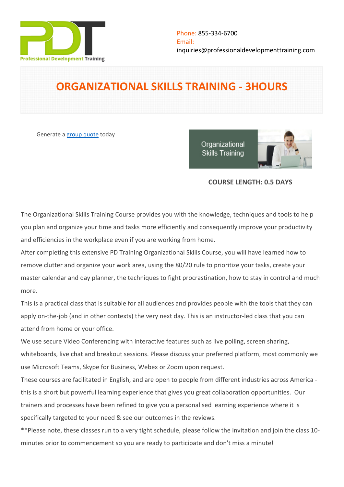

# **ORGANIZATIONAL SKILLS TRAINING - 3HOURS**

Generate a [group quote](https://professionaldevelopmenttraining.com/inhouse-training-quote?cse=PDTO583_C) today

Organizational **Skills Training** 



# **COURSE LENGTH: 0.5 DAYS**

The Organizational Skills Training Course provides you with the knowledge, techniques and tools to help you plan and organize your time and tasks more efficiently and consequently improve your productivity and efficiencies in the workplace even if you are working from home.

After completing this extensive PD Training Organizational Skills Course, you will have learned how to remove clutter and organize your work area, using the 80/20 rule to prioritize your tasks, create your master calendar and day planner, the techniques to fight procrastination, how to stay in control and much more.

This is a practical class that is suitable for all audiences and provides people with the tools that they can apply on-the-job (and in other contexts) the very next day. This is an instructor-led class that you can attend from home or your office.

We use secure Video Conferencing with interactive features such as live polling, screen sharing, whiteboards, live chat and breakout sessions. Please discuss your preferred platform, most commonly we use Microsoft Teams, Skype for Business, Webex or Zoom upon request.

These courses are facilitated in English, and are open to people from different industries across America this is a short but powerful learning experience that gives you great collaboration opportunities. Our trainers and processes have been refined to give you a personalised learning experience where it is specifically targeted to your need & see our outcomes in the reviews.

\*\*Please note, these classes run to a very tight schedule, please follow the invitation and join the class 10 minutes prior to commencement so you are ready to participate and don't miss a minute!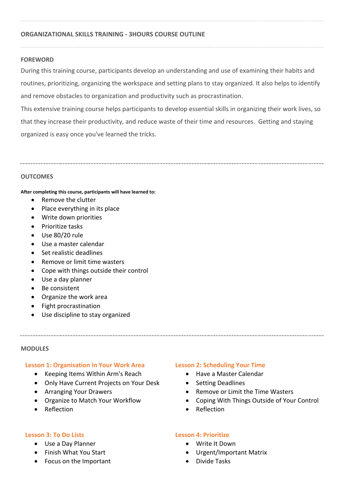## **ORGANIZATIONAL SKILLS TRAINING - 3HOURS COURSE OUTLINE**

## **FOREWORD**

During this training course, participants develop an understanding and use of examining their habits and routines, prioritizing, organizing the workspace and setting plans to stay organized. It also helps to identify and remove obstacles to organization and productivity such as procrastination.

This extensive training course helps participants to develop essential skills in organizing their work lives, so that they increase their productivity, and reduce waste of their time and resources. Getting and staying organized is easy once you've learned the tricks.

## **OUTCOMES**

#### **After completing this course, participants will have learned to:**

- Remove the clutter
- Place everything in its place
- Write down priorities
- Prioritize tasks
- Use 80/20 rule
- Use a master calendar
- Set realistic deadlines
- Remove or limit time wasters
- Cope with things outside their control
- Use a day planner
- Be consistent
- Organize the work area
- Fight procrastination
- Use discipline to stay organized

#### **MODULES**

#### **Lesson 1: Organisation in Your Work Area**

- Keeping Items Within Arm's Reach
- Only Have Current Projects on Your Desk
- Arranging Your Drawers
- Organize to Match Your Workflow
- **•** Reflection

#### **Lesson 3: To Do Lists**

- Use a Day Planner
- Finish What You Start
- Focus on the Important

#### **Lesson 2: Scheduling Your Time**

- Have a Master Calendar
- Setting Deadlines
- Remove or Limit the Time Wasters
- Coping With Things Outside of Your Control
- Reflection

#### **Lesson 4: Prioritize**

- Write It Down
- Urgent/Important Matrix
- Divide Tasks